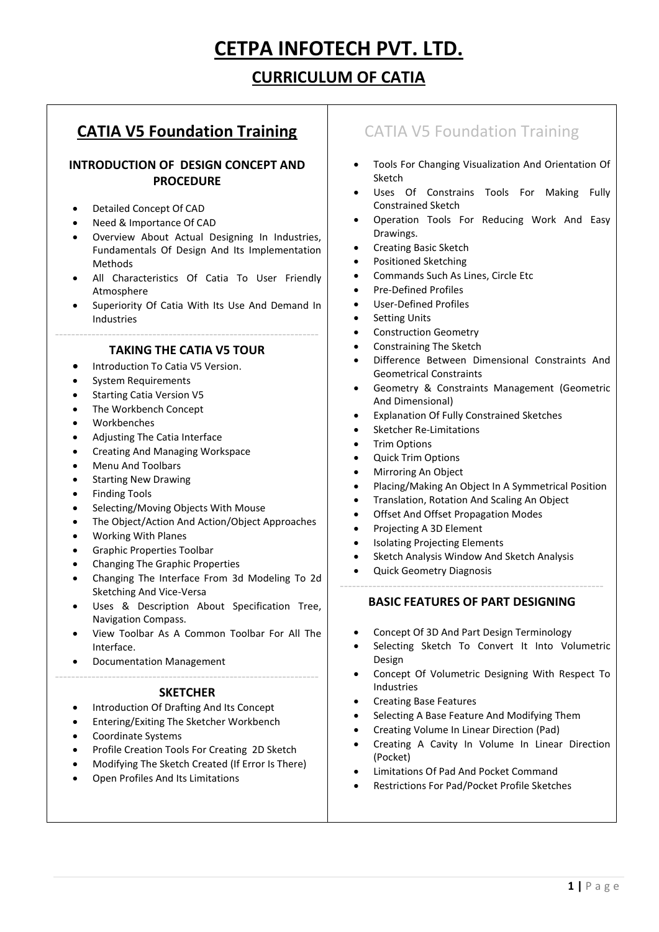# **CETPA INFOTECH PVT. LTD.**

### **CURRICULUM OF CATIA**

### **CATIA V5 Foundation Training**

#### **INTRODUCTION OF DESIGN CONCEPT AND PROCEDURE**

- Detailed Concept Of CAD
- Need & Importance Of CAD
- Overview About Actual Designing In Industries, Fundamentals Of Design And Its Implementation Methods
- All Characteristics Of Catia To User Friendly Atmosphere
- Superiority Of Catia With Its Use And Demand In Industries

#### ----------------------------------------------------------------- **TAKING THE CATIA V5 TOUR**

- Introduction To Catia V5 Version.
- System Requirements
- Starting Catia Version V5
- The Workbench Concept
- Workbenches
- Adjusting The Catia Interface
- Creating And Managing Workspace
- Menu And Toolbars
- Starting New Drawing
- Finding Tools
- Selecting/Moving Objects With Mouse
- The Object/Action And Action/Object Approaches
- Working With Planes
- Graphic Properties Toolbar
- Changing The Graphic Properties
- Changing The Interface From 3d Modeling To 2d Sketching And Vice-Versa
- Uses & Description About Specification Tree, Navigation Compass.
- View Toolbar As A Common Toolbar For All The Interface.
- Documentation Management

#### ----------------------------------------------------------------- **SKETCHER**

- Introduction Of Drafting And Its Concept
- Entering/Exiting The Sketcher Workbench
- Coordinate Systems
- Profile Creation Tools For Creating 2D Sketch
- Modifying The Sketch Created (If Error Is There)
- Open Profiles And Its Limitations

### CATIA V5 Foundation Training

- Tools For Changing Visualization And Orientation Of Sketch
- Uses Of Constrains Tools For Making Fully Constrained Sketch
- Operation Tools For Reducing Work And Easy Drawings.
- Creating Basic Sketch
- Positioned Sketching
- Commands Such As Lines, Circle Etc
- Pre-Defined Profiles
- User-Defined Profiles
- Setting Units
- Construction Geometry
- Constraining The Sketch
- Difference Between Dimensional Constraints And Geometrical Constraints
- Geometry & Constraints Management (Geometric And Dimensional)
- Explanation Of Fully Constrained Sketches
- Sketcher Re-Limitations
- Trim Options
- Quick Trim Options
- Mirroring An Object
- Placing/Making An Object In A Symmetrical Position
- Translation, Rotation And Scaling An Object
- Offset And Offset Propagation Modes
- Projecting A 3D Element
- Isolating Projecting Elements
- Sketch Analysis Window And Sketch Analysis
- Quick Geometry Diagnosis

#### ----------------------------------------------------------------- **BASIC FEATURES OF PART DESIGNING**

- Concept Of 3D And Part Design Terminology
- Selecting Sketch To Convert It Into Volumetric Design
- Concept Of Volumetric Designing With Respect To Industries
- Creating Base Features
- Selecting A Base Feature And Modifying Them
- Creating Volume In Linear Direction (Pad)
- Creating A Cavity In Volume In Linear Direction (Pocket)
- Limitations Of Pad And Pocket Command
- Restrictions For Pad/Pocket Profile Sketches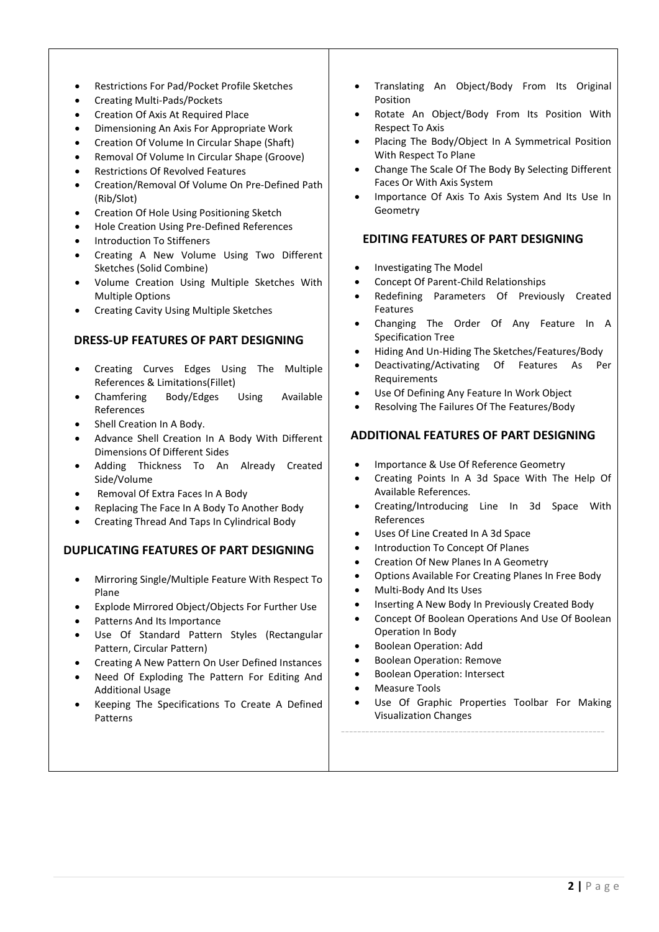- Restrictions For Pad/Pocket Profile Sketches
- Creating Multi-Pads/Pockets
- Creation Of Axis At Required Place
- Dimensioning An Axis For Appropriate Work
- Creation Of Volume In Circular Shape (Shaft)
- Removal Of Volume In Circular Shape (Groove)
- Restrictions Of Revolved Features
- Creation/Removal Of Volume On Pre-Defined Path (Rib/Slot)
- **•** Creation Of Hole Using Positioning Sketch
- Hole Creation Using Pre-Defined References
- Introduction To Stiffeners
- Creating A New Volume Using Two Different Sketches (Solid Combine)
- Volume Creation Using Multiple Sketches With Multiple Options
- Creating Cavity Using Multiple Sketches

#### **DRESS-UP FEATURES OF PART DESIGNING**

- Creating Curves Edges Using The Multiple References & Limitations(Fillet)
- Chamfering Body/Edges Using Available References
- Shell Creation In A Body.
- Advance Shell Creation In A Body With Different Dimensions Of Different Sides
- Adding Thickness To An Already Created Side/Volume
- Removal Of Extra Faces In A Body
- Replacing The Face In A Body To Another Body
- Creating Thread And Taps In Cylindrical Body

#### **DUPLICATING FEATURES OF PART DESIGNING**

- Mirroring Single/Multiple Feature With Respect To Plane
- Explode Mirrored Object/Objects For Further Use
- Patterns And Its Importance
- Use Of Standard Pattern Styles (Rectangular Pattern, Circular Pattern)
- Creating A New Pattern On User Defined Instances
- Need Of Exploding The Pattern For Editing And Additional Usage
- Keeping The Specifications To Create A Defined Patterns
- Translating An Object/Body From Its Original Position
- Rotate An Object/Body From Its Position With Respect To Axis
- Placing The Body/Object In A Symmetrical Position With Respect To Plane
- Change The Scale Of The Body By Selecting Different Faces Or With Axis System
- Importance Of Axis To Axis System And Its Use In Geometry

#### **EDITING FEATURES OF PART DESIGNING**

- Investigating The Model
- Concept Of Parent-Child Relationships
- Redefining Parameters Of Previously Created Features
- Changing The Order Of Any Feature In A Specification Tree
- Hiding And Un-Hiding The Sketches/Features/Body
- Deactivating/Activating Of Features As Per Requirements
- Use Of Defining Any Feature In Work Object
- Resolving The Failures Of The Features/Body

#### **ADDITIONAL FEATURES OF PART DESIGNING**

- Importance & Use Of Reference Geometry
- Creating Points In A 3d Space With The Help Of Available References.
- Creating/Introducing Line In 3d Space With References
- Uses Of Line Created In A 3d Space
- Introduction To Concept Of Planes
- Creation Of New Planes In A Geometry
- Options Available For Creating Planes In Free Body
- Multi-Body And Its Uses
- Inserting A New Body In Previously Created Body
- Concept Of Boolean Operations And Use Of Boolean Operation In Body
- Boolean Operation: Add
- Boolean Operation: Remove
- Boolean Operation: Intersect
- Measure Tools
- Use Of Graphic Properties Toolbar For Making Visualization Changes

-----------------------------------------------------------------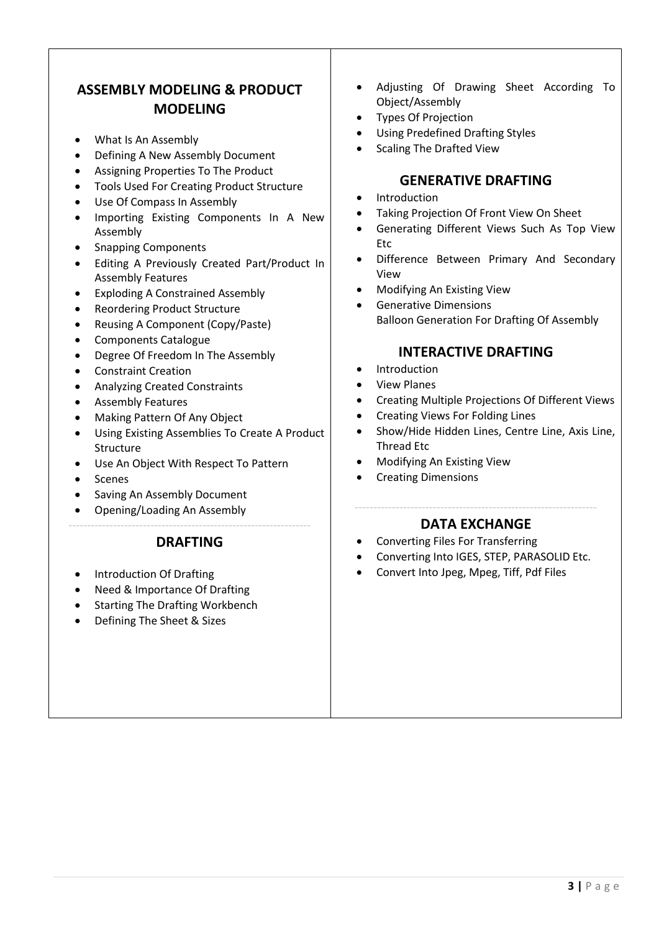### **ASSEMBLY MODELING & PRODUCT MODELING**

- What Is An Assembly
- Defining A New Assembly Document
- Assigning Properties To The Product
- Tools Used For Creating Product Structure
- Use Of Compass In Assembly
- Importing Existing Components In A New Assembly
- Snapping Components
- Editing A Previously Created Part/Product In Assembly Features
- Exploding A Constrained Assembly
- Reordering Product Structure
- Reusing A Component (Copy/Paste)
- Components Catalogue
- Degree Of Freedom In The Assembly
- Constraint Creation
- Analyzing Created Constraints
- Assembly Features
- Making Pattern Of Any Object
- Using Existing Assemblies To Create A Product Structure
- Use An Object With Respect To Pattern
- Scenes
- Saving An Assembly Document
- Opening/Loading An Assembly

#### ----------------------------------------------------------------- **DRAFTING**

- Introduction Of Drafting
- Need & Importance Of Drafting
- Starting The Drafting Workbench
- Defining The Sheet & Sizes
- Adjusting Of Drawing Sheet According To Object/Assembly
- Types Of Projection
- Using Predefined Drafting Styles
- Scaling The Drafted View

#### **GENERATIVE DRAFTING**

- Introduction
- Taking Projection Of Front View On Sheet
- Generating Different Views Such As Top View Etc
- Difference Between Primary And Secondary View
- Modifying An Existing View
- Generative Dimensions Balloon Generation For Drafting Of Assembly

#### **INTERACTIVE DRAFTING**

- Introduction
- View Planes
- Creating Multiple Projections Of Different Views
- Creating Views For Folding Lines
- Show/Hide Hidden Lines, Centre Line, Axis Line, Thread Etc
- Modifying An Existing View
- Creating Dimensions

#### **DATA EXCHANGE**

- Converting Files For Transferring
- Converting Into IGES, STEP, PARASOLID Etc.
- Convert Into Jpeg, Mpeg, Tiff, Pdf Files

-----------------------------------------------------------------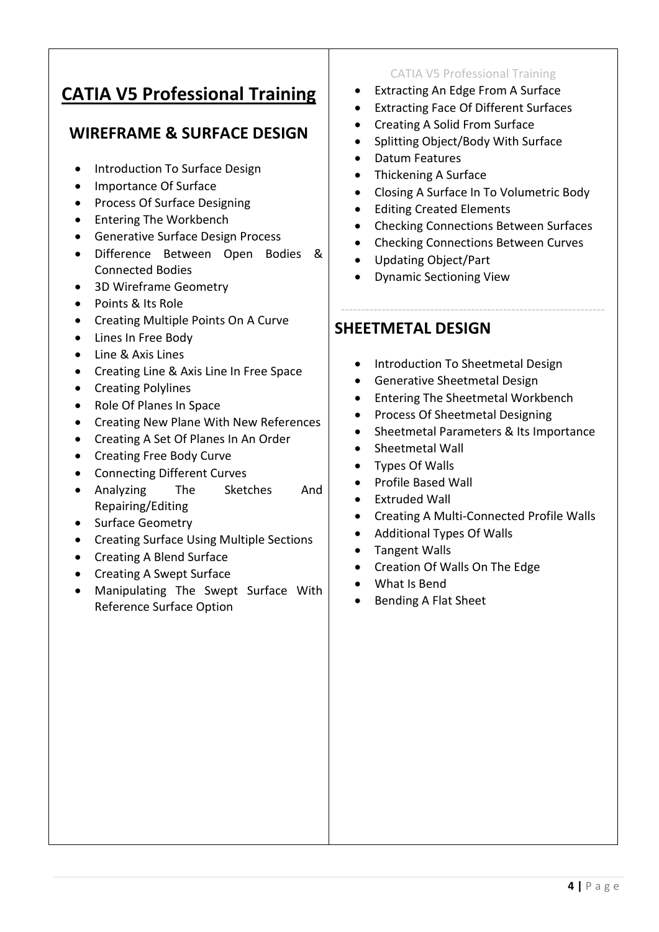## **CATIA V5 Professional Training**

### **WIREFRAME & SURFACE DESIGN**

- Introduction To Surface Design
- Importance Of Surface
- Process Of Surface Designing
- Entering The Workbench
- Generative Surface Design Process
- Difference Between Open Bodies & Connected Bodies
- 3D Wireframe Geometry
- Points & Its Role
- Creating Multiple Points On A Curve
- Lines In Free Body
- Line & Axis Lines
- Creating Line & Axis Line In Free Space
- Creating Polylines
- Role Of Planes In Space
- Creating New Plane With New References
- Creating A Set Of Planes In An Order
- Creating Free Body Curve
- Connecting Different Curves
- Analyzing The Sketches And Repairing/Editing
- Surface Geometry
- Creating Surface Using Multiple Sections
- Creating A Blend Surface
- Creating A Swept Surface
- Manipulating The Swept Surface With Reference Surface Option

#### CATIA V5 Professional Training

- Extracting An Edge From A Surface
- Extracting Face Of Different Surfaces
- Creating A Solid From Surface
- Splitting Object/Body With Surface
- Datum Features
- Thickening A Surface
- Closing A Surface In To Volumetric Body
- Editing Created Elements
- Checking Connections Between Surfaces
- Checking Connections Between Curves

-----------------------------------------------------------------

- Updating Object/Part
- Dynamic Sectioning View

### **SHEETMETAL DESIGN**

- Introduction To Sheetmetal Design
- **•** Generative Sheetmetal Design
- Entering The Sheetmetal Workbench
- Process Of Sheetmetal Designing
- Sheetmetal Parameters & Its Importance
- Sheetmetal Wall
- Types Of Walls
- Profile Based Wall
- Extruded Wall
- Creating A Multi-Connected Profile Walls
- Additional Types Of Walls
- Tangent Walls
- Creation Of Walls On The Edge
- What Is Bend
- Bending A Flat Sheet